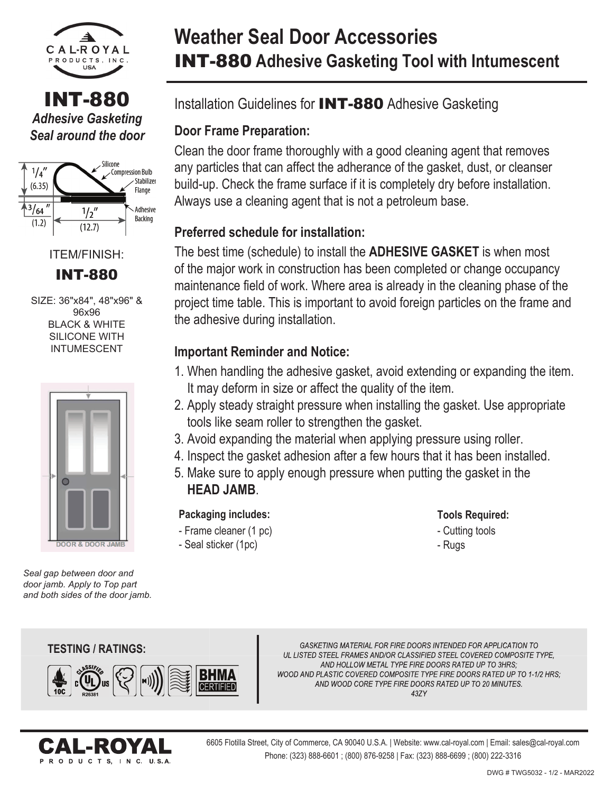

INT-880 *Adhesive Gasketing Seal around the door*



ITEM/FINISH: **INT-880** 

SIZE: 36"x84", 48"x96" & 96x96 **BLACK & WHITE** SILICONE WITH INTUMESCENT



*Seal gap between door and door jamb. Apply to Top part and both sides of the door jamb.*

# **Weather Seal Door Accessories** INT-880 **Adhesive Gasketing Tool with Intumescent**

Installation Guidelines for INT-880 Adhesive Gasketing

## **Door Frame Preparation:**

Clean the door frame thoroughly with a good cleaning agent that removes any particles that can affect the adherance of the gasket, dust, or cleanser build-up. Check the frame surface if it is completely dry before installation. Always use a cleaning agent that is not a petroleum base.

### **Preferred schedule for installation:**

The best time (schedule) to install the **ADHESIVE GASKET** is when most of the major work in construction has been completed or change occupancy maintenance field of work. Where area is already in the cleaning phase of the project time table. This is important to avoid foreign particles on the frame and the adhesive during installation.

### **Important Reminder and Notice:**

- 1. When handling the adhesive gasket, avoid extending or expanding the item. It may deform in size or affect the quality of the item.
- 2. Apply steady straight pressure when installing the gasket. Use appropriate tools like seam roller to strengthen the gasket.
- 3. Avoid expanding the material when applying pressure using roller.
- 4. Inspect the gasket adhesion after a few hours that it has been installed.
- 5. Make sure to apply enough pressure when putting the gasket in the **HEAD JAMB**.

**Packaging includes:**

- Frame cleaner (1 pc)

- Seal sticker (1pc)

#### **Tools Required:**

- Cutting tools
- Rugs

#### **TESTING / RATINGS: TESTING**



GASKETING MATERIAL FOR FIRE DOORS INTENDED FOR APPLICATION TO UL LISTED STEEL FRAMES AND/OR CLASSIFIED STEEL COVERED COMPOSITE TYPE, AND HOLLOW METAL TYPE FIRE DOORS RATED UP TO 3HRS; WOOD AND PLASTIC COVERED COMPOSITE TYPE FIRE DOORS RATED UP TO 1-1/2 HRS: AND WOOD CORE TYPE FIRE DOORS RATED UP TO 20 MINUTES. 437Y



6605 Flotilla Street, City of Commerce, CA 90040 U.S.A. | Website: www.cal-royal.com | Email: sales@cal-royal.com Phone: (323) 888-6601 ; (800) 876-9258 | Fax: (323) 888-6699 ; (800) 222-3316